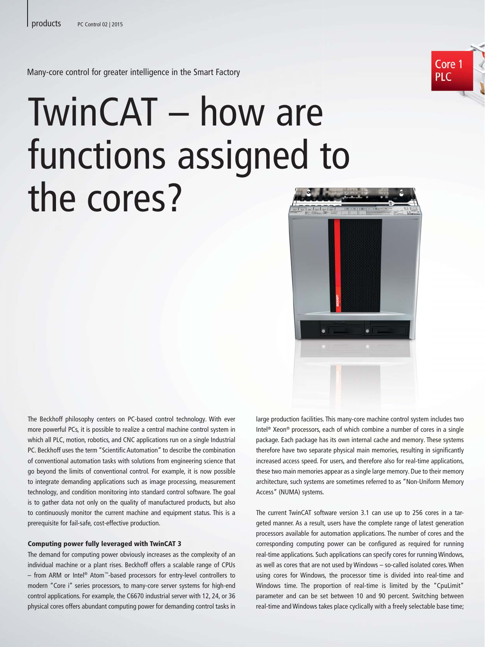Core 1 PI C

Many-core control for greater intelligence in the Smart Factory

## TwinCAT – how are functions assigned to the cores?



The Beckhoff philosophy centers on PC-based control technology. With ever more powerful PCs, it is possible to realize a central machine control system in which all PLC, motion, robotics, and CNC applications run on a single Industrial PC. Beckhoff uses the term "Scientific Automation" to describe the combination of conventional automation tasks with solutions from engineering science that go beyond the limits of conventional control. For example, it is now possible to integrate demanding applications such as image processing, measurement technology, and condition monitoring into standard control software. The goal is to gather data not only on the quality of manufactured products, but also to continuously monitor the current machine and equipment status. This is a prerequisite for fail-safe, cost-effective production.

## Computing power fully leveraged with TwinCAT 3

The demand for computing power obviously increases as the complexity of an individual machine or a plant rises. Beckhoff offers a scalable range of CPUs – from ARM or Intel® Atom™-based processors for entry-level controllers to modern "Core i" series processors, to many-core server systems for high-end control applications. For example, the C6670 industrial server with 12, 24, or 36 physical cores offers abundant computing power for demanding control tasks in

large production facilities. This many-core machine control system includes two Intel® Xeon® processors, each of which combine a number of cores in a single package. Each package has its own internal cache and memory. These systems therefore have two separate physical main memories, resulting in significantly increased access speed. For users, and therefore also for real-time applications, these two main memories appear as a single large memory. Due to their memory architecture, such systems are sometimes referred to as "Non-Uniform Memory Access" (NUMA) systems.

The current TwinCAT software version 3.1 can use up to 256 cores in a targeted manner. As a result, users have the complete range of latest generation processors available for automation applications. The number of cores and the corresponding computing power can be configured as required for running real-time applications. Such applications can specify cores for running Windows, as well as cores that are not used by Windows – so-called isolated cores. When using cores for Windows, the processor time is divided into real-time and Windows time. The proportion of real-time is limited by the "CpuLimit" parameter and can be set between 10 and 90 percent. Switching between real-time and Windows takes place cyclically with a freely selectable base time;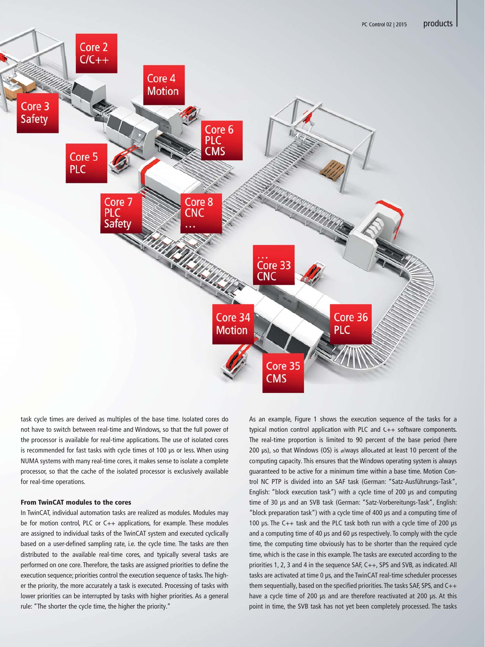

task cycle times are derived as multiples of the base time. Isolated cores do not have to switch between real-time and Windows, so that the full power of task cycle times are derived as multiples of the base time. Isolated cores do<br>not have to switch between real-time and Windows, so that the full power of<br>the processor is available for real-time applications. The use of is is recommended for fast tasks with cycle times of 100 μs or less. When using NUMA systems with many real-time cores, it makes sense to isolate a complete makes complete processor, so that the cache of the isolated processor is exclusively available for real-time operations.

## From TwinCAT modules to the cores

In TwinCAT, individual automation tasks are realized as modules. Modules may be for motion control, PLC or C++ applications, for example. These modules are assigned to individual tasks of the TwinCAT system and executed cyclically based on a user-defined sampling rate, i.e. the cycle time. The tasks are then distributed to the available real-time cores, and typically several tasks are performed on one core. Therefore, the tasks are assigned priorities to define the execution sequence; priorities control the execution sequence of tasks. The higher the priority, the more accurately a task is executed. Processing of tasks with lower priorities can be interrupted by tasks with higher priorities. As a general rule: "The shorter the cycle time, the higher the priority."

As an example, Figure 1 shows the execution sequence of the tasks for a typical motion control application with PLC and  $C_{++}$  software components. The real-time proportion is limited to 90 percent of the base period (here 200 μs), so that Windows (OS) is always allocated at least 10 percent of the computing capacity. This ensures that the Windows operating system is always guaranteed to be active for a minimum time within a base time. Motion Control NC PTP is divided into an SAF task (German: "Satz-Ausführungs-Task", English: "block execution task") with a cycle time of 200 μs and computing time of 30 μs and an SVB task (German: "Satz-Vorbereitungs-Task", English: "block preparation task") with a cycle time of 400 μs and a computing time of 100 μs. The C++ task and the PLC task both run with a cycle time of 200 μs and a computing time of 40 μs and 60 μs respectively. To comply with the cycle time, the computing time obviously has to be shorter than the required cycle time, which is the case in this example. The tasks are executed according to the priorities 1, 2, 3 and 4 in the sequence SAF, C++, SPS and SVB, as indicated. All tasks are activated at time 0 μs, and the TwinCAT real-time scheduler processes them sequentially, based on the specified priorities. The tasks SAF, SPS, and C++ have a cycle time of 200 μs and are therefore reactivated at 200 μs. At this point in time, the SVB task has not yet been completely processed. The tasks As an example, Figure 1 shows the execution sequence of the tasks for a<br>ndows, so that the full power of the typical motion control application with PLC and C++ software components.<br>ations. The use of isolated cores The re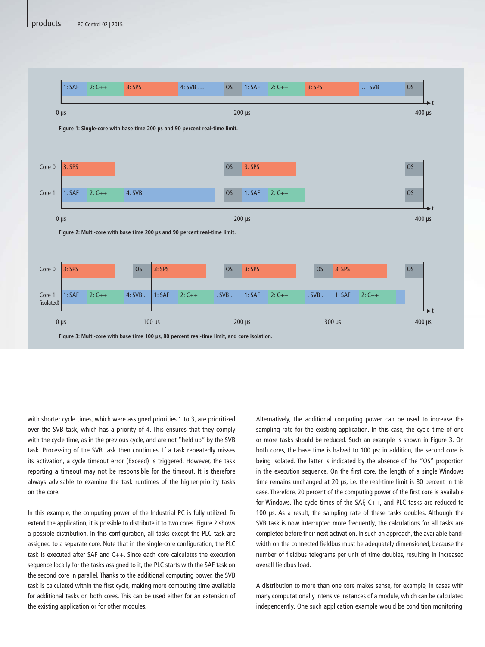

with shorter cycle times, which were assigned priorities 1 to 3, are prioritized over the SVB task, which has a priority of 4. This ensures that they comply with the cycle time, as in the previous cycle, and are not "held up" by the SVB task. Processing of the SVB task then continues. If a task repeatedly misses its activation, a cycle timeout error (Exceed) is triggered. However, the task reporting a timeout may not be responsible for the timeout. It is therefore always advisable to examine the task runtimes of the higher-priority tasks on the core.

In this example, the computing power of the Industrial PC is fully utilized. To extend the application, it is possible to distribute it to two cores. Figure 2 shows a possible distribution. In this configuration, all tasks except the PLC task are assigned to a separate core. Note that in the single-core configuration, the PLC task is executed after SAF and C++. Since each core calculates the execution sequence locally for the tasks assigned to it, the PLC starts with the SAF task on the second core in parallel. Thanks to the additional computing power, the SVB task is calculated within the first cycle, making more computing time available for additional tasks on both cores. This can be used either for an extension of the existing application or for other modules.

Alternatively, the additional computing power can be used to increase the sampling rate for the existing application. In this case, the cycle time of one or more tasks should be reduced. Such an example is shown in Figure 3. On both cores, the base time is halved to 100 μs; in addition, the second core is being isolated. The latter is indicated by the absence of the "OS" proportion in the execution sequence. On the first core, the length of a single Windows time remains unchanged at 20 μs, i.e. the real-time limit is 80 percent in this case. Therefore, 20 percent of the computing power of the first core is available for Windows. The cycle times of the SAF, C++, and PLC tasks are reduced to 100 μs. As a result, the sampling rate of these tasks doubles. Although the SVB task is now interrupted more frequently, the calculations for all tasks are completed before their next activation. In such an approach, the available bandwidth on the connected fieldbus must be adequately dimensioned, because the number of fieldbus telegrams per unit of time doubles, resulting in increased overall fieldbus load.

A distribution to more than one core makes sense, for example, in cases with many computationally intensive instances of a module, which can be calculated independently. One such application example would be condition monitoring.